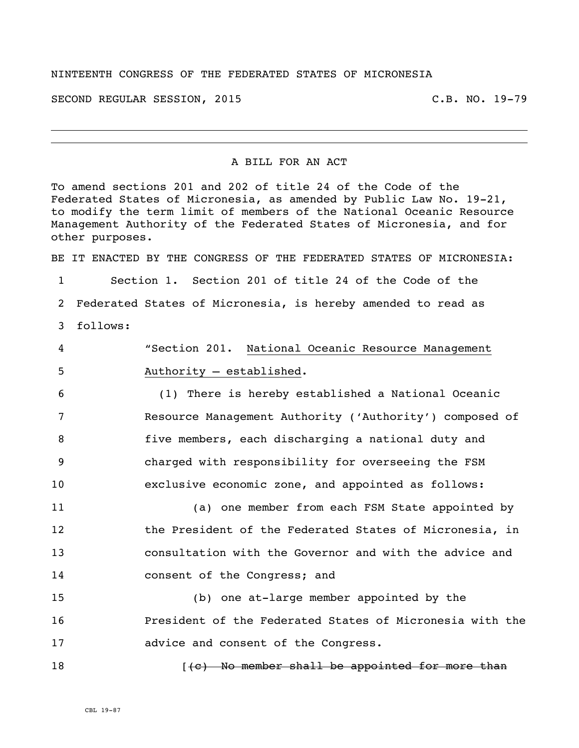## NINTEENTH CONGRESS OF THE FEDERATED STATES OF MICRONESIA

SECOND REGULAR SESSION, 2015 C.B. NO. 19-79

## A BILL FOR AN ACT

To amend sections 201 and 202 of title 24 of the Code of the Federated States of Micronesia, as amended by Public Law No. 19-21, to modify the term limit of members of the National Oceanic Resource Management Authority of the Federated States of Micronesia, and for other purposes. BE IT ENACTED BY THE CONGRESS OF THE FEDERATED STATES OF MICRONESIA: Section 1. Section 201 of title 24 of the Code of the Federated States of Micronesia, is hereby amended to read as follows: "Section 201. National Oceanic Resource Management Authority – established. (1) There is hereby established a National Oceanic Resource Management Authority ('Authority') composed of

 five members, each discharging a national duty and charged with responsibility for overseeing the FSM exclusive economic zone, and appointed as follows:

 (a) one member from each FSM State appointed by 12 the President of the Federated States of Micronesia, in consultation with the Governor and with the advice and **consent of the Congress; and** 

 (b) one at-large member appointed by the President of the Federated States of Micronesia with the advice and consent of the Congress.

**In the sum of the member shall be appointed for more than**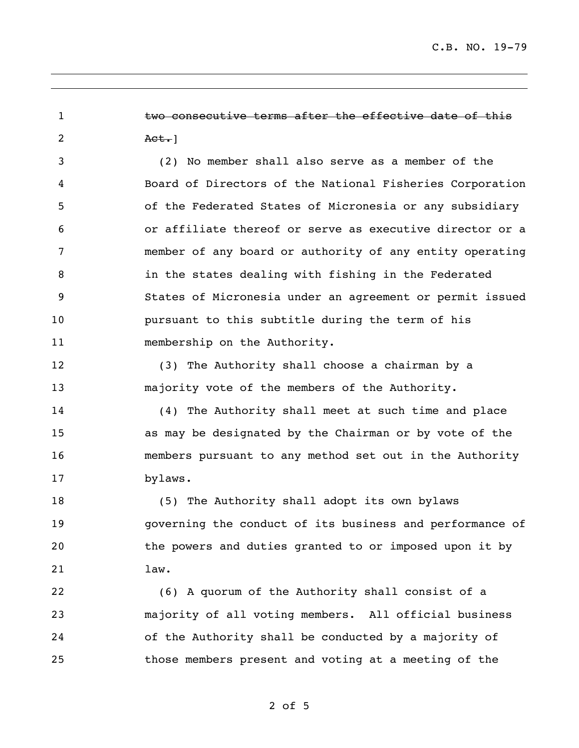C.B. NO. 19-79

1 two consecutive terms after the effective date of this 2 Act.

 (2) No member shall also serve as a member of the Board of Directors of the National Fisheries Corporation of the Federated States of Micronesia or any subsidiary or affiliate thereof or serve as executive director or a member of any board or authority of any entity operating in the states dealing with fishing in the Federated States of Micronesia under an agreement or permit issued pursuant to this subtitle during the term of his 11 membership on the Authority.

 (3) The Authority shall choose a chairman by a majority vote of the members of the Authority.

 (4) The Authority shall meet at such time and place as may be designated by the Chairman or by vote of the members pursuant to any method set out in the Authority bylaws.

 (5) The Authority shall adopt its own bylaws governing the conduct of its business and performance of the powers and duties granted to or imposed upon it by law.

 (6) A quorum of the Authority shall consist of a majority of all voting members. All official business of the Authority shall be conducted by a majority of those members present and voting at a meeting of the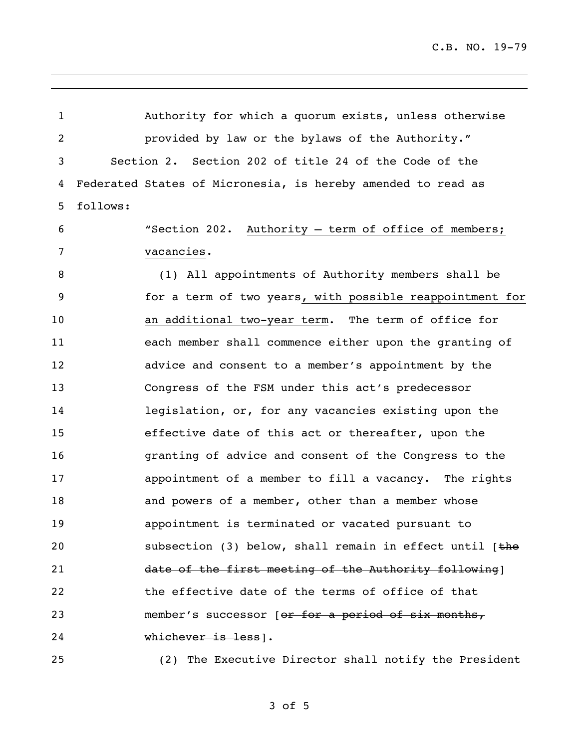C.B. NO. 19-79

 Authority for which a quorum exists, unless otherwise provided by law or the bylaws of the Authority." Section 2. Section 202 of title 24 of the Code of the Federated States of Micronesia, is hereby amended to read as follows: "Section 202. Authority – term of office of members; vacancies. (1) All appointments of Authority members shall be for a term of two years, with possible reappointment for an additional two-year term. The term of office for each member shall commence either upon the granting of advice and consent to a member's appointment by the Congress of the FSM under this act's predecessor legislation, or, for any vacancies existing upon the effective date of this act or thereafter, upon the granting of advice and consent of the Congress to the 17 appointment of a member to fill a vacancy. The rights 18 and powers of a member, other than a member whose appointment is terminated or vacated pursuant to 20 subsection (3) below, shall remain in effect until [the 21 date of the first meeting of the Authority following | the effective date of the terms of office of that 23 member's successor [or for a period of six months, whichever is less]. (2) The Executive Director shall notify the President

of 5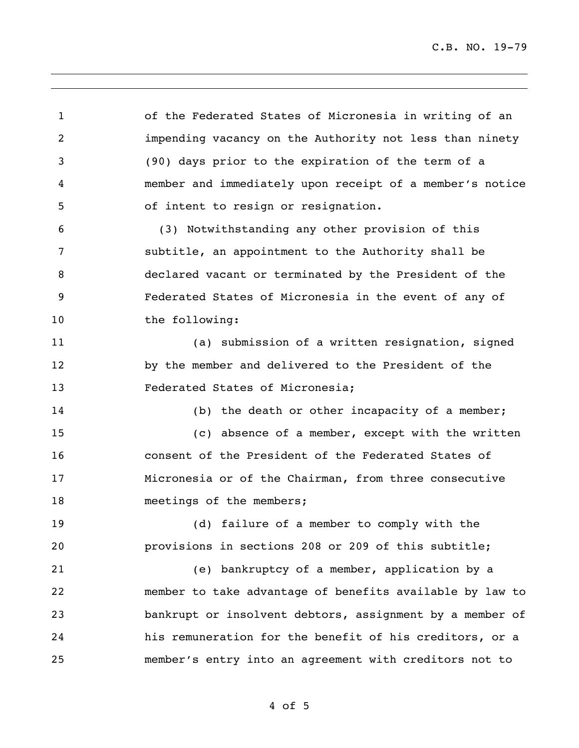of the Federated States of Micronesia in writing of an impending vacancy on the Authority not less than ninety (90) days prior to the expiration of the term of a member and immediately upon receipt of a member's notice of intent to resign or resignation. (3) Notwithstanding any other provision of this

 subtitle, an appointment to the Authority shall be declared vacant or terminated by the President of the Federated States of Micronesia in the event of any of the following:

 (a) submission of a written resignation, signed by the member and delivered to the President of the Federated States of Micronesia;

14 (b) the death or other incapacity of a member;

 (c) absence of a member, except with the written consent of the President of the Federated States of Micronesia or of the Chairman, from three consecutive 18 meetings of the members;

 (d) failure of a member to comply with the provisions in sections 208 or 209 of this subtitle;

 (e) bankruptcy of a member, application by a member to take advantage of benefits available by law to bankrupt or insolvent debtors, assignment by a member of his remuneration for the benefit of his creditors, or a member's entry into an agreement with creditors not to